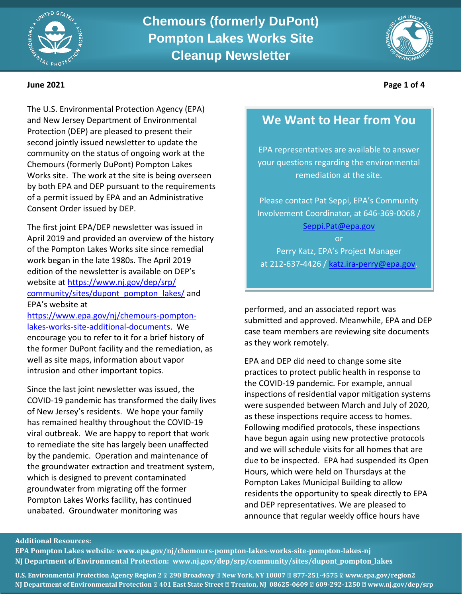



**June 2021 Page 1 of 4**

The U.S. Environmental Protection Agency (EPA) and New Jersey Department of Environmental Protection (DEP) are pleased to present their second jointly issued newsletter to update the community on the status of ongoing work at the Chemours (formerly DuPont) Pompton Lakes Works site. The work at the site is being overseen by both EPA and DEP pursuant to the requirements of a permit issued by EPA and an Administrative Consent Order issued by DEP.

The first joint EPA/DEP newsletter was issued in April 2019 and provided an overview of the history of the Pompton Lakes Works site since remedial work began in the late 1980s. The April 2019 edition of the newsletter is available on DEP's website at [https://www.nj.gov/dep/srp/](https://www.nj.gov/dep/srp/community/sites/dupont_pompton_lakes/) [community/sites/dupont\\_pompton\\_lakes/](https://www.nj.gov/dep/srp/community/sites/dupont_pompton_lakes/) and EPA's website at

[https://www.epa.gov/nj/chemours-pompton](https://www.epa.gov/nj/chemours-pompton-lakes-works-site-additional-documents)[lakes-works-site-additional-documents.](https://www.epa.gov/nj/chemours-pompton-lakes-works-site-additional-documents) We encourage you to refer to it for a brief history of the former DuPont facility and the remediation, as well as site maps, information about vapor intrusion and other important topics.

Since the last joint newsletter was issued, the COVID-19 pandemic has transformed the daily lives of New Jersey's residents. We hope your family has remained healthy throughout the COVID-19 viral outbreak. We are happy to report that work to remediate the site has largely been unaffected by the pandemic. Operation and maintenance of the groundwater extraction and treatment system, which is designed to prevent contaminated groundwater from migrating off the former Pompton Lakes Works facility, has continued unabated. Groundwater monitoring was

# **We Want to Hear from You**

EPA representatives are available to answer your questions regarding the environmental remediation at the site.

Please contact Pat Seppi, EPA's Community Involvement Coordinator, at 646-369-0068 / [Seppi.Pat@epa.gov](mailto:Seppi.Pat@epa.gov)

or Perry Katz, EPA's Project Manager at 212-637-4426 / [katz.ira-perry@epa.gov.](mailto:katz.ira-perry@epa.gov)

performed, and an associated report was submitted and approved. Meanwhile, EPA and DEP case team members are reviewing site documents as they work remotely.

EPA and DEP did need to change some site practices to protect public health in response to the COVID-19 pandemic. For example, annual inspections of residential vapor mitigation systems were suspended between March and July of 2020, as these inspections require access to homes. Following modified protocols, these inspections have begun again using new protective protocols and we will schedule visits for all homes that are due to be inspected. EPA had suspended its Open Hours, which were held on Thursdays at the Pompton Lakes Municipal Building to allow residents the opportunity to speak directly to EPA and DEP representatives. We are pleased to announce that regular weekly office hours have

### **Additional Resources:**

**EPA Pompton Lakes website: [www.epa.gov/nj/chemours-pompton-lakes-works-site-pompton-lakes-nj](http://www.epa.gov/nj/chemours-pompton-lakes-works-site-pompton-lakes-nj) NJ Department of Environmental Protection: [www.nj.gov/dep/srp/community/sites/dupont\\_pompton\\_lakes](http://www.nj.gov/dep/srp/community/sites/dupont_pompton_lakes)**

**U.S. Environmental Protection Agency Region 2 ● 290 Broadway ● New York, NY 10007 ● 877-251-4575 ● [www.epa.gov/region2](http://www.epa.gov/region2) NJ Department of Environmental Protection ● 401 East State Street ● Trenton, NJ 08625-0609 ● 609-292-1250 ● [www.nj.gov/dep/srp](http://www.nj.gov/dep/srp)**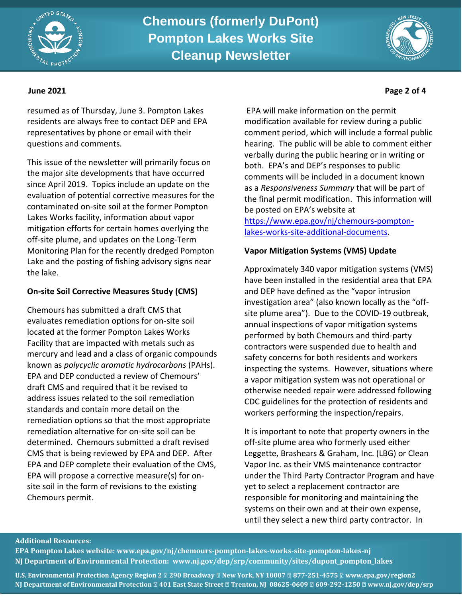



resumed as of Thursday, June 3. Pompton Lakes residents are always free to contact DEP and EPA representatives by phone or email with their questions and comments.

This issue of the newsletter will primarily focus on the major site developments that have occurred since April 2019. Topics include an update on the evaluation of potential corrective measures for the contaminated on-site soil at the former Pompton Lakes Works facility, information about vapor mitigation efforts for certain homes overlying the off-site plume, and updates on the Long-Term Monitoring Plan for the recently dredged Pompton Lake and the posting of fishing advisory signs near the lake.

# **On-site Soil Corrective Measures Study (CMS)**

Chemours has submitted a draft CMS that evaluates remediation options for on-site soil located at the former Pompton Lakes Works Facility that are impacted with metals such as mercury and lead and a class of organic compounds known as *polycyclic aromatic hydrocarbons* (PAHs). EPA and DEP conducted a review of Chemours' draft CMS and required that it be revised to address issues related to the soil remediation standards and contain more detail on the remediation options so that the most appropriate remediation alternative for on-site soil can be determined. Chemours submitted a draft revised CMS that is being reviewed by EPA and DEP. After EPA and DEP complete their evaluation of the CMS, EPA will propose a corrective measure(s) for onsite soil in the form of revisions to the existing Chemours permit.

EPA will make information on the permit modification available for review during a public comment period, which will include a formal public hearing. The public will be able to comment either verbally during the public hearing or in writing or both. EPA's and DEP's responses to public comments will be included in a document known as a *Responsiveness Summary* that will be part of the final permit modification. This information will be posted on EPA's website at

[https://www.epa.gov/nj/chemours-pompton](https://www.epa.gov/nj/chemours-pompton-lakes-works-site-additional-documents)[lakes-works-site-additional-documents.](https://www.epa.gov/nj/chemours-pompton-lakes-works-site-additional-documents)

# **Vapor Mitigation Systems (VMS) Update**

Approximately 340 vapor mitigation systems (VMS) have been installed in the residential area that EPA and DEP have defined as the "vapor intrusion investigation area" (also known locally as the "offsite plume area"). Due to the COVID-19 outbreak, annual inspections of vapor mitigation systems performed by both Chemours and third-party contractors were suspended due to health and safety concerns for both residents and workers inspecting the systems. However, situations where a vapor mitigation system was not operational or otherwise needed repair were addressed following CDC guidelines for the protection of residents and workers performing the inspection/repairs.

It is important to note that property owners in the off-site plume area who formerly used either Leggette, Brashears & Graham, Inc. (LBG) or Clean Vapor Inc. as their VMS maintenance contractor under the Third Party Contractor Program and have yet to select a replacement contractor are responsible for monitoring and maintaining the systems on their own and at their own expense, until they select a new third party contractor. In

# **Additional Resources:**

**EPA Pompton Lakes website: [www.epa.gov/nj/chemours-pompton-lakes-works-site-pompton-lakes-nj](http://www.epa.gov/nj/chemours-pompton-lakes-works-site-pompton-lakes-nj) NJ Department of Environmental Protection: [www.nj.gov/dep/srp/community/sites/dupont\\_pompton\\_lakes](http://www.nj.gov/dep/srp/community/sites/dupont_pompton_lakes)**

**U.S. Environmental Protection Agency Region 2 ● 290 Broadway ● New York, NY 10007 ● 877-251-4575 ● [www.epa.gov/region2](http://www.epa.gov/region2) NJ Department of Environmental Protection ● 401 East State Street ● Trenton, NJ 08625-0609 ● 609-292-1250 ● [www.nj.gov/dep/srp](http://www.nj.gov/dep/srp)**

# **June 2021 Page 2 of 4**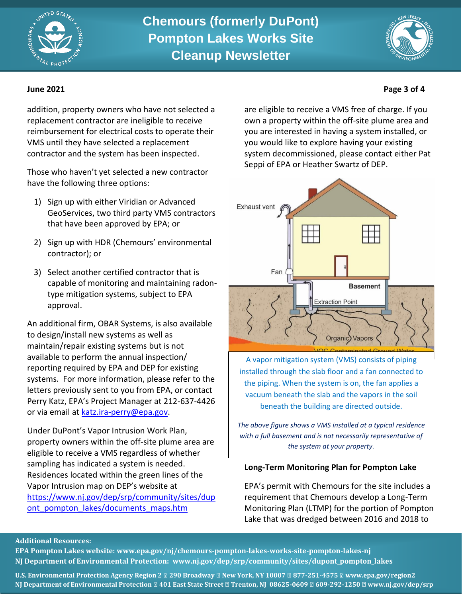



addition, property owners who have not selected a replacement contractor are ineligible to receive reimbursement for electrical costs to operate their VMS until they have selected a replacement contractor and the system has been inspected.

Those who haven't yet selected a new contractor have the following three options:

- 1) Sign up with either Viridian or Advanced GeoServices, two third party VMS contractors that have been approved by EPA; or
- 2) Sign up with HDR (Chemours' environmental contractor); or
- 3) Select another certified contractor that is capable of monitoring and maintaining radontype mitigation systems, subject to EPA approval.

An additional firm, OBAR Systems, is also available to design/install new systems as well as maintain/repair existing systems but is not available to perform the annual inspection/ reporting required by EPA and DEP for existing systems. For more information, please refer to the letters previously sent to you from EPA, or contact Perry Katz, EPA's Project Manager at 212-637-4426 or via email at [katz.ira-perry@epa.gov.](mailto:katz.ira-perry@epa.gov)

Under DuPont's Vapor Intrusion Work Plan, property owners within the off-site plume area are eligible to receive a VMS regardless of whether sampling has indicated a system is needed. Residences located within the green lines of the Vapor Intrusion map on DEP's website at [https://www.nj.gov/dep/srp/community/sites/dup](https://www.nj.gov/dep/srp/community/sites/dupont_pompton_lakes/documents_maps.htm) ont pompton\_lakes/documents\_maps.htm

are eligible to receive a VMS free of charge. If you own a property within the off-site plume area and you are interested in having a system installed, or you would like to explore having your existing system decommissioned, please contact either Pat Seppi of EPA or Heather Swartz of DEP.



A vapor mitigation system (VMS) consists of piping installed through the slab floor and a fan connected to the piping. When the system is on, the fan applies a vacuum beneath the slab and the vapors in the soil beneath the building are directed outside.

*The above figure shows a VMS installed at a typical residence with a full basement and is not necessarily representative of the system at your property.*

## **Long-Term Monitoring Plan for Pompton Lake**

EPA's permit with Chemours for the site includes a requirement that Chemours develop a Long-Term Monitoring Plan (LTMP) for the portion of Pompton Lake that was dredged between 2016 and 2018 to

# **Additional Resources:**

**EPA Pompton Lakes website: [www.epa.gov/nj/chemours-pompton-lakes-works-site-pompton-lakes-nj](http://www.epa.gov/nj/chemours-pompton-lakes-works-site-pompton-lakes-nj) NJ Department of Environmental Protection: [www.nj.gov/dep/srp/community/sites/dupont\\_pompton\\_lakes](http://www.nj.gov/dep/srp/community/sites/dupont_pompton_lakes)**

**U.S. Environmental Protection Agency Region 2 ● 290 Broadway ● New York, NY 10007 ● 877-251-4575 ● [www.epa.gov/region2](http://www.epa.gov/region2) NJ Department of Environmental Protection ● 401 East State Street ● Trenton, NJ 08625-0609 ● 609-292-1250 ● [www.nj.gov/dep/srp](http://www.nj.gov/dep/srp)**

# **June 2021 Page 3 of 4**